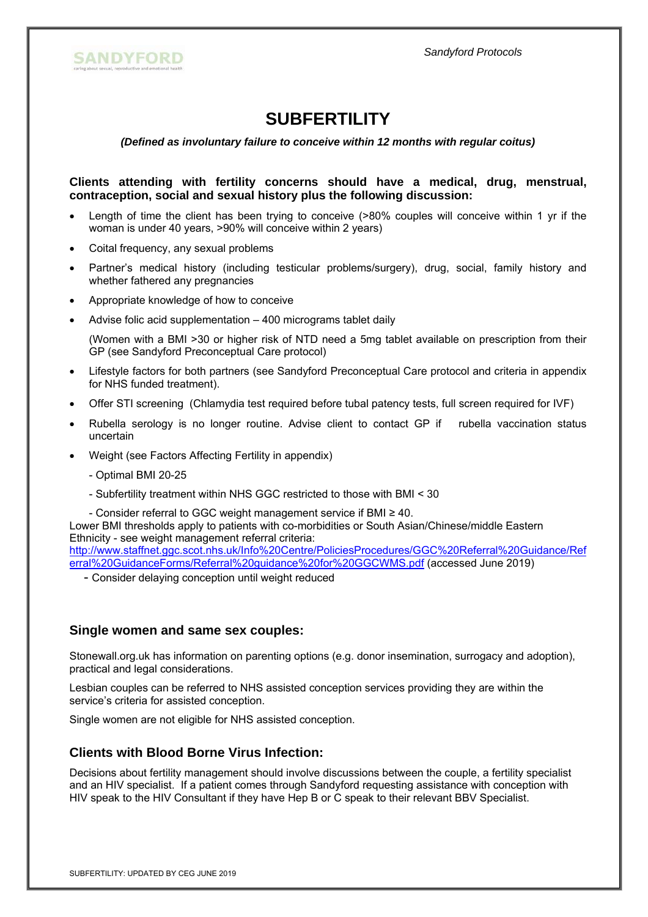

# **SUBFERTILITY**

*(Defined as involuntary failure to conceive within 12 months with regular coitus)* 

**Clients attending with fertility concerns should have a medical, drug, menstrual, contraception, social and sexual history plus the following discussion:**

- Length of time the client has been trying to conceive (>80% couples will conceive within 1 yr if the woman is under 40 years, >90% will conceive within 2 years)
- Coital frequency, any sexual problems
- Partner's medical history (including testicular problems/surgery), drug, social, family history and whether fathered any pregnancies
- Appropriate knowledge of how to conceive
- Advise folic acid supplementation 400 micrograms tablet daily

(Women with a BMI >30 or higher risk of NTD need a 5mg tablet available on prescription from their GP (see Sandyford Preconceptual Care protocol)

- Lifestyle factors for both partners (see Sandyford Preconceptual Care protocol and criteria in appendix for NHS funded treatment).
- Offer STI screening (Chlamydia test required before tubal patency tests, full screen required for IVF)
- Rubella serology is no longer routine. Advise client to contact GP if rubella vaccination status uncertain
- Weight (see Factors Affecting Fertility in appendix)
	- Optimal BMI 20-25
	- Subfertility treatment within NHS GGC restricted to those with BMI < 30

- Consider referral to GGC weight management service if BMI ≥ 40.

Lower BMI thresholds apply to patients with co-morbidities or South Asian/Chinese/middle Eastern Ethnicity - see weight management referral criteria: http://www.staffnet.ggc.scot.nhs.uk/Info%20Centre/PoliciesProcedures/GGC%20Referral%20Guidance/Ref

erral%20GuidanceForms/Referral%20guidance%20for%20GGCWMS.pdf (accessed June 2019)

- Consider delaying conception until weight reduced

## **Single women and same sex couples:**

Stonewall.org.uk has information on parenting options (e.g. donor insemination, surrogacy and adoption), practical and legal considerations.

Lesbian couples can be referred to NHS assisted conception services providing they are within the service's criteria for assisted conception.

Single women are not eligible for NHS assisted conception.

## **Clients with Blood Borne Virus Infection:**

Decisions about fertility management should involve discussions between the couple, a fertility specialist and an HIV specialist. If a patient comes through Sandyford requesting assistance with conception with HIV speak to the HIV Consultant if they have Hep B or C speak to their relevant BBV Specialist.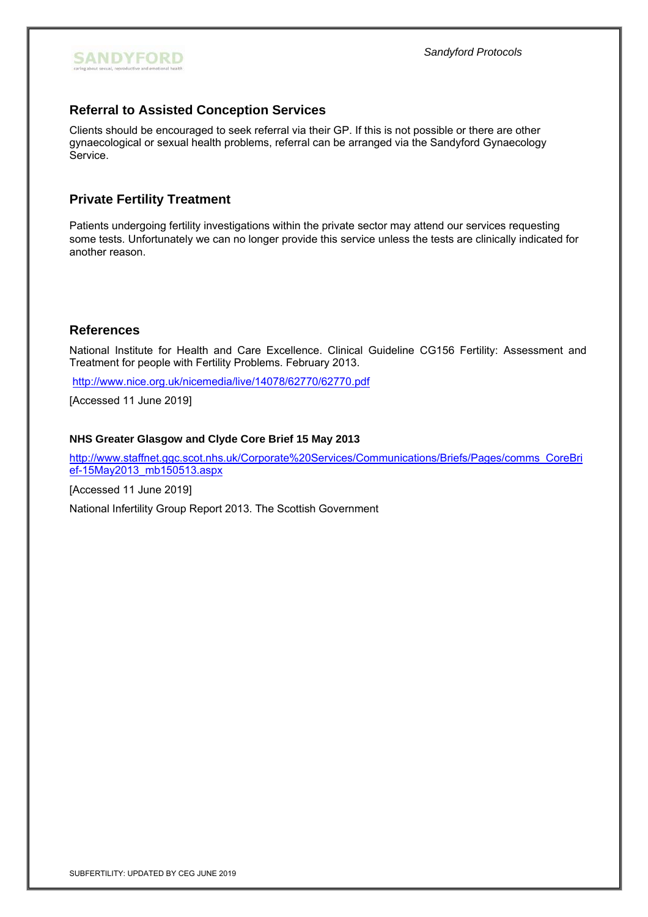

# **Referral to Assisted Conception Services**

Clients should be encouraged to seek referral via their GP. If this is not possible or there are other gynaecological or sexual health problems, referral can be arranged via the Sandyford Gynaecology Service.

## **Private Fertility Treatment**

Patients undergoing fertility investigations within the private sector may attend our services requesting some tests. Unfortunately we can no longer provide this service unless the tests are clinically indicated for another reason.

### **References**

National Institute for Health and Care Excellence. Clinical Guideline CG156 Fertility: Assessment and Treatment for people with Fertility Problems. February 2013.

http://www.nice.org.uk/nicemedia/live/14078/62770/62770.pdf

[Accessed 11 June 2019]

#### **NHS Greater Glasgow and Clyde Core Brief 15 May 2013**

http://www.staffnet.ggc.scot.nhs.uk/Corporate%20Services/Communications/Briefs/Pages/comms\_CoreBri ef-15May2013\_mb150513.aspx

[Accessed 11 June 2019]

National Infertility Group Report 2013. The Scottish Government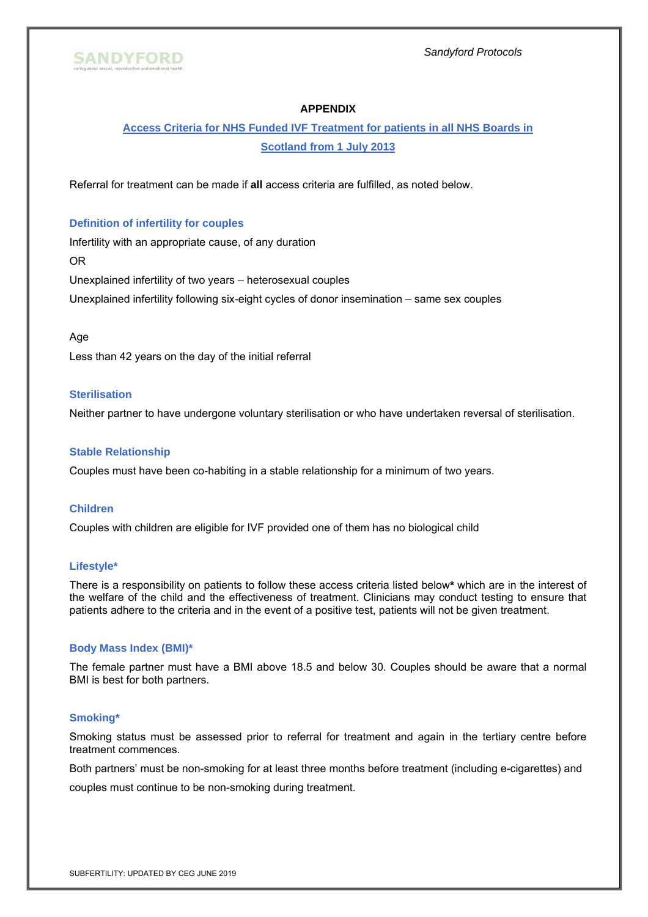

#### **APPENDIX**

# **Access Criteria for NHS Funded IVF Treatment for patients in all NHS Boards in Scotland from 1 July 2013**

Referral for treatment can be made if **all** access criteria are fulfilled, as noted below.

#### **Definition of infertility for couples**

Infertility with an appropriate cause, of any duration OR Unexplained infertility of two years – heterosexual couples Unexplained infertility following six-eight cycles of donor insemination – same sex couples

#### Age

Less than 42 years on the day of the initial referral

#### **Sterilisation**

Neither partner to have undergone voluntary sterilisation or who have undertaken reversal of sterilisation.

#### **Stable Relationship**

Couples must have been co-habiting in a stable relationship for a minimum of two years.

#### **Children**

Couples with children are eligible for IVF provided one of them has no biological child

#### **Lifestyle\***

There is a responsibility on patients to follow these access criteria listed below**\*** which are in the interest of the welfare of the child and the effectiveness of treatment. Clinicians may conduct testing to ensure that patients adhere to the criteria and in the event of a positive test, patients will not be given treatment.

#### **Body Mass Index (BMI)\***

The female partner must have a BMI above 18.5 and below 30. Couples should be aware that a normal BMI is best for both partners.

#### **Smoking\***

Smoking status must be assessed prior to referral for treatment and again in the tertiary centre before treatment commences.

Both partners' must be non-smoking for at least three months before treatment (including e-cigarettes) and couples must continue to be non-smoking during treatment.